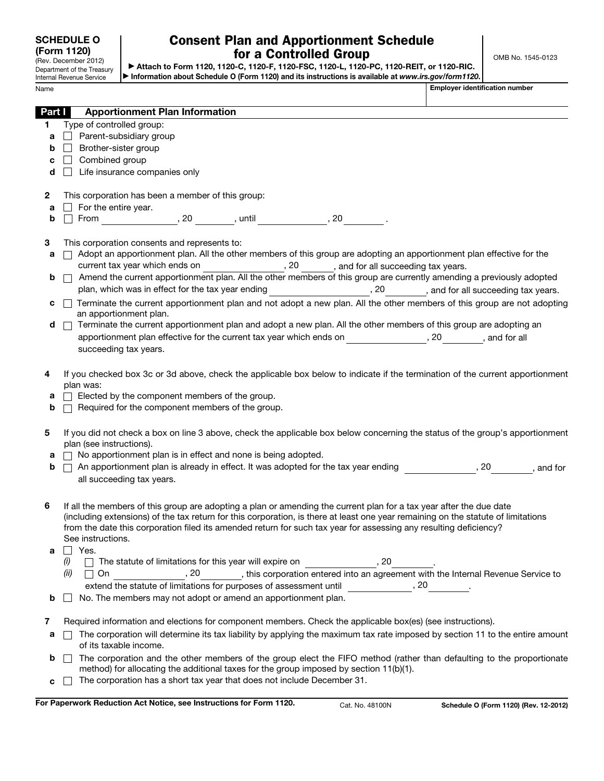| <b>SCHEDULE O</b><br>(Form 1120)<br>(Rev. December 2012) |                                                        | <b>Consent Plan and Apportionment Schedule</b><br>for a Controlled Group<br>Attach to Form 1120, 1120-C, 1120-F, 1120-FSC, 1120-L, 1120-PC, 1120-REIT, or 1120-RIC. |                                       |                                                                                                                                                                                                                                                 |  |  |  | OMB No. 1545-0123                     |                                        |
|----------------------------------------------------------|--------------------------------------------------------|---------------------------------------------------------------------------------------------------------------------------------------------------------------------|---------------------------------------|-------------------------------------------------------------------------------------------------------------------------------------------------------------------------------------------------------------------------------------------------|--|--|--|---------------------------------------|----------------------------------------|
|                                                          | Department of the Treasury<br>Internal Revenue Service |                                                                                                                                                                     |                                       | Information about Schedule O (Form 1120) and its instructions is available at www.irs.gov/form1120.                                                                                                                                             |  |  |  |                                       |                                        |
| Name                                                     |                                                        |                                                                                                                                                                     |                                       |                                                                                                                                                                                                                                                 |  |  |  | <b>Employer identification number</b> |                                        |
|                                                          |                                                        |                                                                                                                                                                     |                                       |                                                                                                                                                                                                                                                 |  |  |  |                                       |                                        |
| Part I                                                   |                                                        |                                                                                                                                                                     | <b>Apportionment Plan Information</b> |                                                                                                                                                                                                                                                 |  |  |  |                                       |                                        |
| 1.                                                       | Type of controlled group:<br>Parent-subsidiary group   |                                                                                                                                                                     |                                       |                                                                                                                                                                                                                                                 |  |  |  |                                       |                                        |
| a<br>b                                                   | $\Box$<br>Brother-sister group                         |                                                                                                                                                                     |                                       |                                                                                                                                                                                                                                                 |  |  |  |                                       |                                        |
| c                                                        | Combined group                                         |                                                                                                                                                                     |                                       |                                                                                                                                                                                                                                                 |  |  |  |                                       |                                        |
| d                                                        | $\perp$                                                | Life insurance companies only                                                                                                                                       |                                       |                                                                                                                                                                                                                                                 |  |  |  |                                       |                                        |
|                                                          |                                                        |                                                                                                                                                                     |                                       |                                                                                                                                                                                                                                                 |  |  |  |                                       |                                        |
| 2                                                        | This corporation has been a member of this group:      |                                                                                                                                                                     |                                       |                                                                                                                                                                                                                                                 |  |  |  |                                       |                                        |
| a                                                        | $\Box$ For the entire year.                            |                                                                                                                                                                     |                                       |                                                                                                                                                                                                                                                 |  |  |  |                                       |                                        |
| b                                                        |                                                        |                                                                                                                                                                     |                                       | $\Box$ From ________________, 20 _________, until _______________, 20 _________.                                                                                                                                                                |  |  |  |                                       |                                        |
| 3                                                        | This corporation consents and represents to:           |                                                                                                                                                                     |                                       |                                                                                                                                                                                                                                                 |  |  |  |                                       |                                        |
| a                                                        |                                                        |                                                                                                                                                                     |                                       | Adopt an apportionment plan. All the other members of this group are adopting an apportionment plan effective for the                                                                                                                           |  |  |  |                                       |                                        |
|                                                          |                                                        |                                                                                                                                                                     |                                       |                                                                                                                                                                                                                                                 |  |  |  |                                       |                                        |
| b                                                        | $\Box$                                                 |                                                                                                                                                                     |                                       | Amend the current apportionment plan. All the other members of this group are currently amending a previously adopted                                                                                                                           |  |  |  |                                       |                                        |
| c                                                        |                                                        |                                                                                                                                                                     |                                       | plan, which was in effect for the tax year ending _______________________________, and for all succeeding tax years.<br>Terminate the current apportionment plan and not adopt a new plan. All the other members of this group are not adopting |  |  |  |                                       |                                        |
|                                                          |                                                        | an apportionment plan.                                                                                                                                              |                                       |                                                                                                                                                                                                                                                 |  |  |  |                                       |                                        |
| d                                                        |                                                        |                                                                                                                                                                     |                                       | Terminate the current apportionment plan and adopt a new plan. All the other members of this group are adopting an                                                                                                                              |  |  |  |                                       |                                        |
|                                                          |                                                        |                                                                                                                                                                     |                                       | apportionment plan effective for the current tax year which ends on ________________, 20________, and for all                                                                                                                                   |  |  |  |                                       |                                        |
|                                                          |                                                        | succeeding tax years.                                                                                                                                               |                                       |                                                                                                                                                                                                                                                 |  |  |  |                                       |                                        |
| 4                                                        |                                                        |                                                                                                                                                                     |                                       | If you checked box 3c or 3d above, check the applicable box below to indicate if the termination of the current apportionment                                                                                                                   |  |  |  |                                       |                                        |
|                                                          | plan was:                                              |                                                                                                                                                                     |                                       |                                                                                                                                                                                                                                                 |  |  |  |                                       |                                        |
| а                                                        | $\Box$ Elected by the component members of the group.  |                                                                                                                                                                     |                                       |                                                                                                                                                                                                                                                 |  |  |  |                                       |                                        |
| b                                                        |                                                        |                                                                                                                                                                     |                                       | $\Box$ Required for the component members of the group.                                                                                                                                                                                         |  |  |  |                                       |                                        |
|                                                          |                                                        |                                                                                                                                                                     |                                       |                                                                                                                                                                                                                                                 |  |  |  |                                       |                                        |
| 5                                                        | plan (see instructions).                               |                                                                                                                                                                     |                                       | If you did not check a box on line 3 above, check the applicable box below concerning the status of the group's apportionment                                                                                                                   |  |  |  |                                       |                                        |
| а                                                        |                                                        |                                                                                                                                                                     |                                       | $\Box$ No apportionment plan is in effect and none is being adopted.                                                                                                                                                                            |  |  |  |                                       |                                        |
| b                                                        |                                                        |                                                                                                                                                                     |                                       | $\Box$ An apportionment plan is already in effect. It was adopted for the tax year ending                                                                                                                                                       |  |  |  |                                       | $\frac{1}{2}$ , 20 __________, and for |
|                                                          |                                                        | all succeeding tax years.                                                                                                                                           |                                       |                                                                                                                                                                                                                                                 |  |  |  |                                       |                                        |
|                                                          |                                                        |                                                                                                                                                                     |                                       |                                                                                                                                                                                                                                                 |  |  |  |                                       |                                        |
| 6                                                        |                                                        |                                                                                                                                                                     |                                       | If all the members of this group are adopting a plan or amending the current plan for a tax year after the due date                                                                                                                             |  |  |  |                                       |                                        |
|                                                          |                                                        |                                                                                                                                                                     |                                       | (including extensions) of the tax return for this corporation, is there at least one year remaining on the statute of limitations                                                                                                               |  |  |  |                                       |                                        |
|                                                          |                                                        |                                                                                                                                                                     |                                       | from the date this corporation filed its amended return for such tax year for assessing any resulting deficiency?                                                                                                                               |  |  |  |                                       |                                        |
| a                                                        | See instructions.<br>$\Box$ Yes.                       |                                                                                                                                                                     |                                       |                                                                                                                                                                                                                                                 |  |  |  |                                       |                                        |
|                                                          | (i)                                                    |                                                                                                                                                                     |                                       | The statute of limitations for this year will expire on                                                                                                                                                                                         |  |  |  |                                       |                                        |
|                                                          | (ii)<br>$\Box$ On                                      |                                                                                                                                                                     |                                       |                                                                                                                                                                                                                                                 |  |  |  |                                       |                                        |
|                                                          |                                                        |                                                                                                                                                                     |                                       | extend the statute of limitations for purposes of assessment until _______________, 20__________.                                                                                                                                               |  |  |  |                                       |                                        |
| b                                                        |                                                        |                                                                                                                                                                     |                                       | No. The members may not adopt or amend an apportionment plan.                                                                                                                                                                                   |  |  |  |                                       |                                        |
|                                                          |                                                        |                                                                                                                                                                     |                                       |                                                                                                                                                                                                                                                 |  |  |  |                                       |                                        |
| 7                                                        |                                                        |                                                                                                                                                                     |                                       | Required information and elections for component members. Check the applicable box(es) (see instructions).                                                                                                                                      |  |  |  |                                       |                                        |
| а                                                        |                                                        |                                                                                                                                                                     |                                       | The corporation will determine its tax liability by applying the maximum tax rate imposed by section 11 to the entire amount                                                                                                                    |  |  |  |                                       |                                        |
|                                                          |                                                        | of its taxable income.                                                                                                                                              |                                       |                                                                                                                                                                                                                                                 |  |  |  |                                       |                                        |
| b                                                        |                                                        |                                                                                                                                                                     |                                       | The corporation and the other members of the group elect the FIFO method (rather than defaulting to the proportionate<br>method) for allocating the additional taxes for the group imposed by section 11(b)(1).                                 |  |  |  |                                       |                                        |
| C                                                        |                                                        |                                                                                                                                                                     |                                       | The corporation has a short tax year that does not include December 31.                                                                                                                                                                         |  |  |  |                                       |                                        |

For Paperwork Reduction Act Notice, see Instructions for Form 1120. Cat. No. 48100N Schedule O (Form 1120) (Rev. 12-2012)

 $\overline{\phantom{a}}$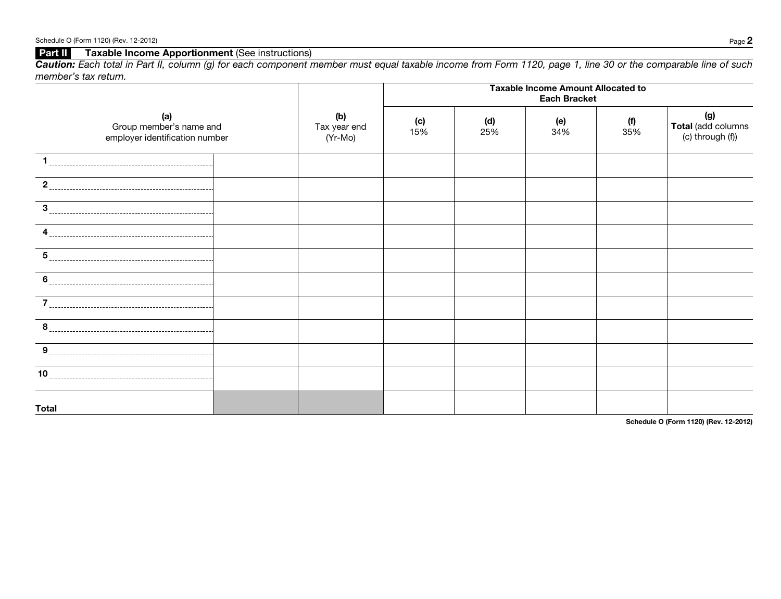## Part II Taxable Income Apportionment (See instructions)

*Caution: Each total in Part II, column (g) for each component member must equal taxable income from Form 1120, page 1, line 30 or the comparable line of such member's tax return.*

|                                                                  |                                | <b>Taxable Income Amount Allocated to</b><br><b>Each Bracket</b> |            |            |              |                                               |  |
|------------------------------------------------------------------|--------------------------------|------------------------------------------------------------------|------------|------------|--------------|-----------------------------------------------|--|
| (a)<br>Group member's name and<br>employer identification number | (b)<br>Tax year end<br>(Yr-Mo) | (c)<br>$15\%$                                                    | (d)<br>25% | (e)<br>34% | $(n)$<br>35% | (g)<br>Total (add columns<br>(c) through (f)) |  |
|                                                                  |                                |                                                                  |            |            |              |                                               |  |
| $\mathbf{2}$                                                     |                                |                                                                  |            |            |              |                                               |  |
| 3                                                                |                                |                                                                  |            |            |              |                                               |  |
| 4                                                                |                                |                                                                  |            |            |              |                                               |  |
| 5                                                                |                                |                                                                  |            |            |              |                                               |  |
| 6                                                                |                                |                                                                  |            |            |              |                                               |  |
| 7                                                                |                                |                                                                  |            |            |              |                                               |  |
| 8                                                                |                                |                                                                  |            |            |              |                                               |  |
| 9                                                                |                                |                                                                  |            |            |              |                                               |  |
| 10                                                               |                                |                                                                  |            |            |              |                                               |  |
| <b>Total</b>                                                     |                                |                                                                  |            |            |              |                                               |  |

Schedule O (Form 1120) (Rev. 12-2012)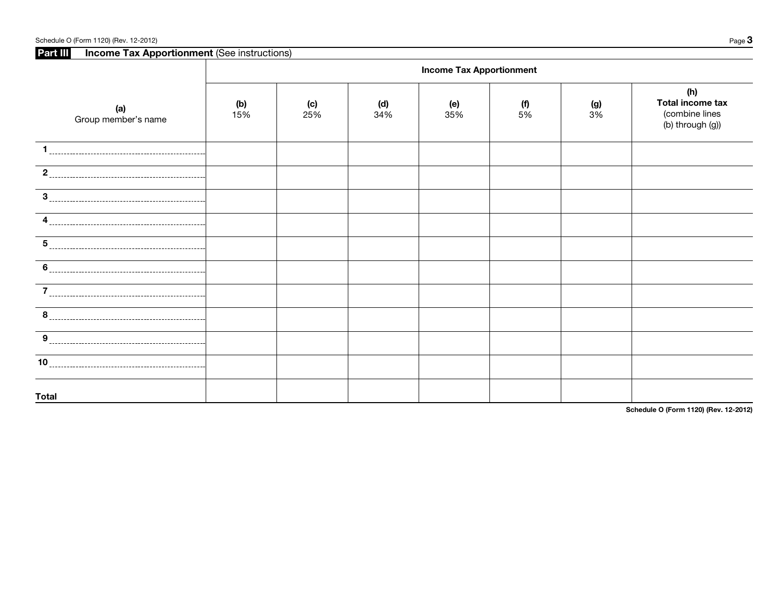| Schedule O (Form 1120) (Rev. 12-2012) |  |  |  |  |
|---------------------------------------|--|--|--|--|
|---------------------------------------|--|--|--|--|

Schedule O (Form 1120) (Rev. 12-2012)  $Page \, 3$ Part III Income Tax Apportionment (See instructions) Τ

|                                                                                                                                                                                                                                                                                                                                                                     | <b>Income Tax Apportionment</b> |            |            |            |           |                 |                                                               |  |
|---------------------------------------------------------------------------------------------------------------------------------------------------------------------------------------------------------------------------------------------------------------------------------------------------------------------------------------------------------------------|---------------------------------|------------|------------|------------|-----------|-----------------|---------------------------------------------------------------|--|
| (a)<br>Group member's name                                                                                                                                                                                                                                                                                                                                          | (b)<br>15%                      | (c)<br>25% | (d)<br>34% | (e)<br>35% | (f)<br>5% | $\frac{1}{3\%}$ | (h)<br>Total income tax<br>(combine lines<br>(b) through (g)) |  |
| -1                                                                                                                                                                                                                                                                                                                                                                  |                                 |            |            |            |           |                 |                                                               |  |
| 2                                                                                                                                                                                                                                                                                                                                                                   |                                 |            |            |            |           |                 |                                                               |  |
| 3                                                                                                                                                                                                                                                                                                                                                                   |                                 |            |            |            |           |                 |                                                               |  |
| 4                                                                                                                                                                                                                                                                                                                                                                   |                                 |            |            |            |           |                 |                                                               |  |
| 5                                                                                                                                                                                                                                                                                                                                                                   |                                 |            |            |            |           |                 |                                                               |  |
| $\begin{picture}(20,10) \put(0,0){\vector(1,0){100}} \put(15,0){\vector(1,0){100}} \put(15,0){\vector(1,0){100}} \put(15,0){\vector(1,0){100}} \put(15,0){\vector(1,0){100}} \put(15,0){\vector(1,0){100}} \put(15,0){\vector(1,0){100}} \put(15,0){\vector(1,0){100}} \put(15,0){\vector(1,0){100}} \put(15,0){\vector(1,0){100}} \put(15,0){\vector(1,0){100}} \$ |                                 |            |            |            |           |                 |                                                               |  |
| $\overline{7}$<br>$- - - -$                                                                                                                                                                                                                                                                                                                                         |                                 |            |            |            |           |                 |                                                               |  |
| $8 \frac{1}{2}$                                                                                                                                                                                                                                                                                                                                                     |                                 |            |            |            |           |                 |                                                               |  |
| $\boldsymbol{9}$                                                                                                                                                                                                                                                                                                                                                    |                                 |            |            |            |           |                 |                                                               |  |
| 10                                                                                                                                                                                                                                                                                                                                                                  |                                 |            |            |            |           |                 |                                                               |  |
| <b>Total</b>                                                                                                                                                                                                                                                                                                                                                        |                                 |            |            |            |           |                 |                                                               |  |

Schedule O (Form 1120) (Rev. 12-2012)